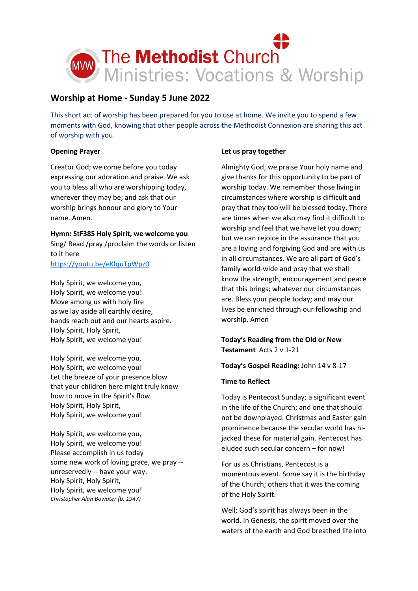

# **Worship at Home - Sunday 5 June 2022**

This short act of worship has been prepared for you to use at home. We invite you to spend a few moments with God, knowing that other people across the Methodist Connexion are sharing this act of worship with you.

## **Opening Prayer**

Creator God; we come before you today expressing our adoration and praise. We ask you to bless all who are worshipping today, wherever they may be; and ask that our worship brings honour and glory to Your name. Amen.

**Hymn: StF385 Holy Spirit, we welcome you** Sing/ Read /pray /proclaim the words or listen to it here

## <https://youtu.be/eKlquTpWpz0>

Holy Spirit, we welcome you, Holy Spirit, we welcome you! Move among us with holy fire as we lay aside all earthly desire, hands reach out and our hearts aspire. Holy Spirit, Holy Spirit, Holy Spirit, we welcome you!

Holy Spirit, we welcome you, Holy Spirit, we welcome you! Let the breeze of your presence blow that your children here might truly know how to move in the Spirit's flow. Holy Spirit, Holy Spirit, Holy Spirit, we welcome you!

Holy Spirit, we welcome you, Holy Spirit, we welcome you! Please accomplish in us today some new work of loving grace, we pray - unreservedly -- have your way. Holy Spirit, Holy Spirit, Holy Spirit, we welcome you! *Christopher Alan Bowater (b. 1947)*

### **Let us pray together**

Almighty God, we praise Your holy name and give thanks for this opportunity to be part of worship today. We remember those living in circumstances where worship is difficult and pray that they too will be blessed today. There are times when we also may find it difficult to worship and feel that we have let you down; but we can rejoice in the assurance that you are a loving and forgiving God and are with us in all circumstances. We are all part of God's family world-wide and pray that we shall know the strength, encouragement and peace that this brings; whatever our circumstances are. Bless your people today; and may our lives be enriched through our fellowship and worship. Amen

## **Today's Reading from the Old or New Testament** Acts 2 v 1-21

### **Today's Gospel Reading:** John 14 v 8-17

### **Time to Reflect**

Today is Pentecost Sunday; a significant event in the life of the Church; and one that should not be downplayed. Christmas and Easter gain prominence because the secular world has hijacked these for material gain. Pentecost has eluded such secular concern – for now!

For us as Christians, Pentecost is a momentous event. Some say it is the birthday of the Church; others that it was the coming of the Holy Spirit.

Well; God's spirit has always been in the world. In Genesis, the spirit moved over the waters of the earth and God breathed life into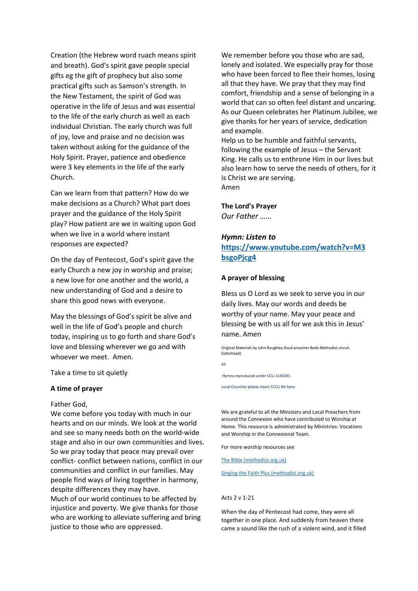Creation (the Hebrew word ruach means spirit and breath). God's spirit gave people special gifts eg the gift of prophecy but also some practical gifts such as Samson's strength. In the New Testament, the spirit of God was operative in the life of Jesus and was essential to the life of the early church as well as each individual Christian. The early church was full of joy, love and praise and no decision was taken without asking for the guidance of the Holy Spirit. Prayer, patience and obedience were 3 key elements in the life of the early Church.

Can we learn from that pattern? How do we make decisions as a Church? What part does prayer and the guidance of the Holy Spirit play? How patient are we in waiting upon God when we live in a world where instant responses are expected?

On the day of Pentecost, God's spirit gave the early Church a new joy in worship and praise; a new love for one another and the world, a new understanding of God and a desire to share this good news with everyone.

May the blessings of God's spirit be alive and well in the life of God's people and church today, inspiring us to go forth and share God's love and blessing wherever we go and with whoever we meet. Amen.

Take a time to sit quietly

### **A time of prayer**

Father God,

We come before you today with much in our hearts and on our minds. We look at the world and see so many needs both on the world-wide stage and also in our own communities and lives. So we pray today that peace may prevail over conflict- conflict between nations, conflict in our communities and conflict in our families. May people find ways of living together in harmony, despite differences they may have. Much of our world continues to be affected by injustice and poverty. We give thanks for those who are working to alleviate suffering and bring justice to those who are oppressed.

We remember before you those who are sad, lonely and isolated. We especially pray for those who have been forced to flee their homes, losing all that they have. We pray that they may find comfort, friendship and a sense of belonging in a world that can so often feel distant and uncaring. As our Queen celebrates her Platinum Jubilee, we give thanks for her years of service, dedication and example.

Help us to be humble and faithful servants, following the example of Jesus – the Servant King. He calls us to enthrone Him in our lives but also learn how to serve the needs of others, for it is Christ we are serving. Amen

### **The Lord's Prayer**

*Our Father ……*

### *Hymn: Listen to*

**[https://www.youtube.com/watch?v=M3](https://www.youtube.com/watch?v=M3bsgoPjcg4) [bsgoPjcg4](https://www.youtube.com/watch?v=M3bsgoPjcg4)**

#### **A prayer of blessing**

Bless us O Lord as we seek to serve you in our daily lives. May our words and deeds be worthy of your name. May your peace and blessing be with us all for we ask this in Jesus' name. Amen

Original Materials by John Roughley (local preacher Bede Methodist circuit, Gateshead)

All

Hymns reproduced under CCLi 1144191.

Local Churches please insert CCCLi No here

We are grateful to all the Ministers and Local Preachers from around the Connexion who have contributed to Worship at Home. This resource is administrated by Ministries: Vocations and Worship in the Connexional Team.

For more worship resources see

[The Bible \(methodist.org.uk\)](https://www.methodist.org.uk/our-faith/the-bible/)

[Singing the Faith Plus \(methodist.org.uk\)](https://www.methodist.org.uk/our-faith/worship/singing-the-faith-plus/)

#### Acts 2 v 1-21

When the day of Pentecost had come, they were all together in one place. And suddenly from heaven there came a sound like the rush of a violent wind, and it filled